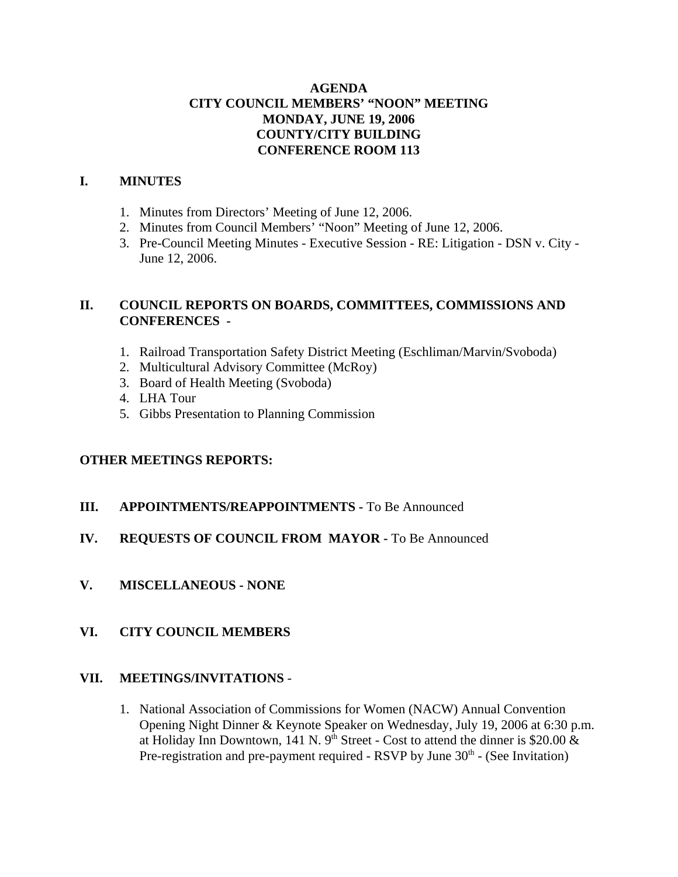## **AGENDA CITY COUNCIL MEMBERS' "NOON" MEETING MONDAY, JUNE 19, 2006 COUNTY/CITY BUILDING CONFERENCE ROOM 113**

## **I. MINUTES**

- 1. Minutes from Directors' Meeting of June 12, 2006.
- 2. Minutes from Council Members' "Noon" Meeting of June 12, 2006.
- 3. Pre-Council Meeting Minutes Executive Session RE: Litigation DSN v. City June 12, 2006.

## **II. COUNCIL REPORTS ON BOARDS, COMMITTEES, COMMISSIONS AND CONFERENCES -**

- 1. Railroad Transportation Safety District Meeting (Eschliman/Marvin/Svoboda)
- 2. Multicultural Advisory Committee (McRoy)
- 3. Board of Health Meeting (Svoboda)
- 4. LHA Tour
- 5. Gibbs Presentation to Planning Commission

## **OTHER MEETINGS REPORTS:**

- **III.** APPOINTMENTS/REAPPOINTMENTS To Be Announced
- **IV. REQUESTS OF COUNCIL FROM MAYOR -** To Be Announced
- **V. MISCELLANEOUS NONE**

## **VI. CITY COUNCIL MEMBERS**

### **VII. MEETINGS/INVITATIONS** -

1. National Association of Commissions for Women (NACW) Annual Convention Opening Night Dinner & Keynote Speaker on Wednesday, July 19, 2006 at 6:30 p.m. at Holiday Inn Downtown, 141 N. 9<sup>th</sup> Street - Cost to attend the dinner is \$20.00  $\&$ Pre-registration and pre-payment required - RSVP by June  $30<sup>th</sup>$  - (See Invitation)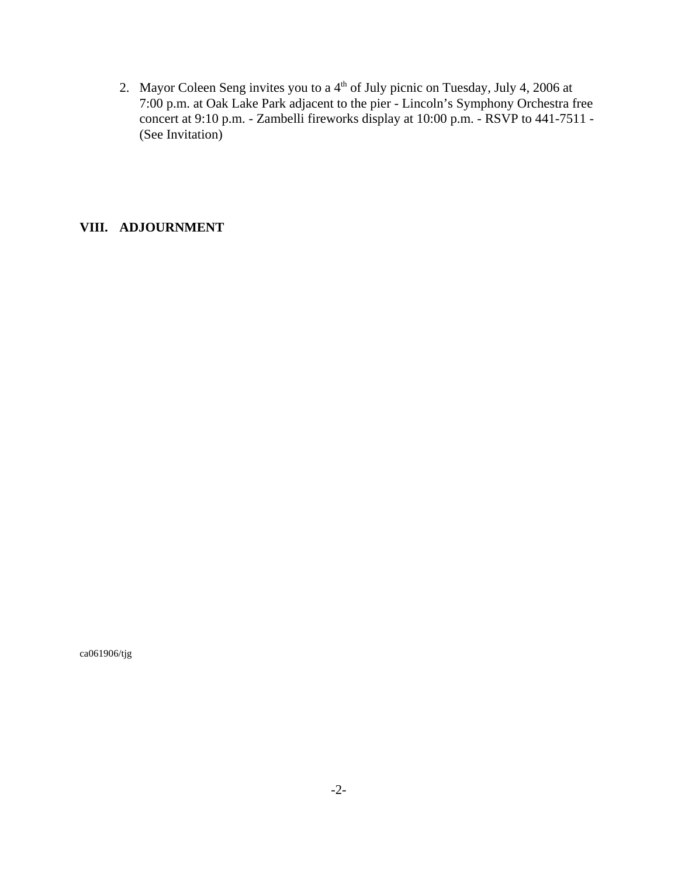2. Mayor Coleen Seng invites you to a 4<sup>th</sup> of July picnic on Tuesday, July 4, 2006 at 7:00 p.m. at Oak Lake Park adjacent to the pier - Lincoln's Symphony Orchestra free concert at 9:10 p.m. - Zambelli fireworks display at 10:00 p.m. - RSVP to 441-7511 - (See Invitation)

## **VIII. ADJOURNMENT**

ca061906/tjg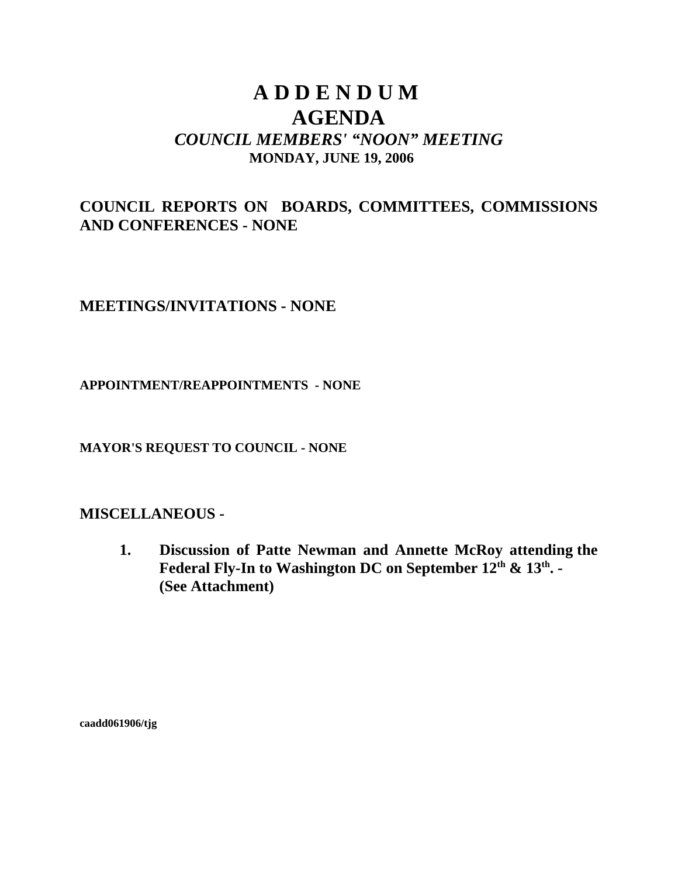## **A D D E N D U M AGENDA** *COUNCIL MEMBERS' "NOON" MEETING* **MONDAY, JUNE 19, 2006**

## **COUNCIL REPORTS ON BOARDS, COMMITTEES, COMMISSIONS AND CONFERENCES - NONE**

## **MEETINGS/INVITATIONS - NONE**

## **APPOINTMENT/REAPPOINTMENTS - NONE**

**MAYOR'S REQUEST TO COUNCIL - NONE**

## **MISCELLANEOUS -**

**1. Discussion of Patte Newman and Annette McRoy attending the** Federal Fly-In to Washington DC on September 12<sup>th</sup> & 13<sup>th</sup>. -**(See Attachment)** 

**caadd061906/tjg**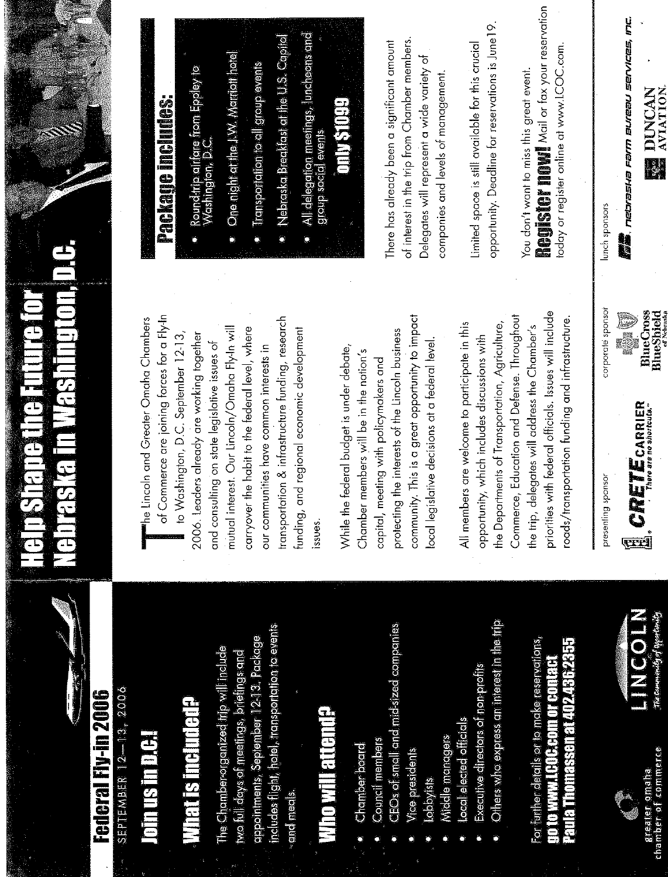

## SEPTEMBER 12-13, 2006 Federal Fiv-in 2006

## **Johnsmer**

## **What is included?**

includes flight, hotel, transportation to events appointments, September 12-13. Package The Chamber organized trip will include wo full days of meetings, briefings and and meals.

## **Who will attend?**

- Chamber board
- Council members
- CEOs of small and mid-sized companies
- Vice presidents
	- **asiveggi**
- Middle managers
- Local elected officials
- Executive clirectors of non profits
- Others who express an interest in the trip

For further details or to make reservations, Paula Thomassen at 402.436.2355 **OD TO WWW.LCOC.COMPOT COMPAGIO** 



LINCOLN

# Neoraska in Hashington, D.C. TATISTETE TIE TIULE O

of Commerce are joining forces for a Fly-In the Lincoln and Greater Omaha Chambers ransportation & infrastructure funding, research carryover the habit to the federal level, where mutual interest. Our Lincoln/Omaha Fly-In will unding, and regional economic development to Washington, D.C. September 12-13, 2006. Leaders already are working together and consulting on state legislative issues of our communities have common interests in ssues

community. This is a great opportunity to impact protecting the interests of the Lincoln business local legislative decisions at a federal level While the federal budget is under debate, Chamber members will be in the nation's capital, meeting with policymakers and

priorities with federal officials. Issues will include Commerce, Education and Defense. Throughout roads/transportation funding and infrastructure. All members are welcome to participate in this the Departments of Transportation, Agriculture, the trip, delegates will address the Chamber's opportunity, which includes discussions with

**E** CREIL CARRIER presenting sponsor



# Den großen und geleiden.

- Round-trip airfare from Eppley to<br>Washington, D.C.
- One night at the J.W. Marriott hotel
- **Transportation to all group events**
- Nebraska Breakfast at the U.S. Capital
- All delegation meetings, luncheons and<br>group social events

## **ONING THE**

of interest in the trip from Chamber members. There has already been a significant amount Delegates will represent a wide variety of companies and levels of management.

opportunity. Deadline for reservations is June 19. Limited space is still available for this crucial

**NOUNDER THE THE THE MONEY CONSERVATION** oday or register online at www.LCOC.com. You don't want to miss this great event.

**umum**<br>Malin metraska ramn sureau services, mc. lunch sponsors

DUNCAN **AVIATION**